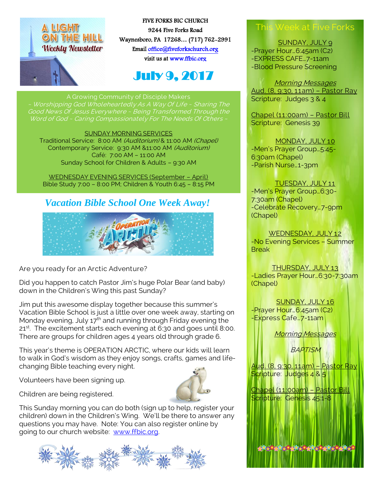

FIVE FORKS BIC CHURCH 9244 Five Forks Road Waynesboro, PA 17268… (717) 762-2991 Emai[l office@fiveforkschurch.org](mailto:office@fiveforkschurch.org)  visit us a[t www.ffbic.org](http://www.ffbic.org/) 

# July 9, 2017

~ Worshipping God Wholeheartedly As A Way Of Life ~ Sharing The

#### SUNDAY MORNING SERVICES

Traditional Service: 8:00 AM (Auditorium) & 11:00 AM (Chapel) Contemporary Service: 9:30 AM &11:00 AM (Auditorium) Café: 7:00 AM – 11:00 AM Sunday School for Children & Adults – 9:30 AM

WEDNESDAY EVENING SERVICES (September – April) Bible Study 7:00 – 8:00 PM; Children & Youth 6:45 – 8:15 PM

#### *Vacation Bible School One Week Away!*



Are you ready for an Arctic Adventure?

Did you happen to catch Pastor Jim's huge Polar Bear (and baby) down in the Children's Wing this past Sunday?

Jim put this awesome display together because this summer's Vacation Bible School is just a little over one week away, starting on Monday evening, July  $17<sup>th</sup>$  and running through Friday evening the 21<sup>st</sup>. The excitement starts each evening at 6:30 and goes until 8:00. There are groups for children ages 4 years old through grade 6.

This year's theme is OPERATION ARCTIC, where our kids will learn to walk in God's wisdom as they enjoy songs, crafts, games and lifechanging Bible teaching every night.

Volunteers have been signing up.





i<sub>oni</sub> This Sunday morning you can do both (sign up to help, register your children) down in the Children's Wing. We'll be there to answer any questions you may have. Note: You can also register online by going to our church website: [www.ffbic.org.](http://www.ffbic.org/)



## This Week at Five Forks

SUNDAY, JULY 9 -Prayer Hour…6:45am (C2) -EXPRESS CAFE…7-11am -Blood Pressure Screening

Morning Messages Aud. (8, 9:30, 11am) – Pastor Ray Scripture: Judges 3 & 4

Chapel (11:00am) – Pastor Bill Scripture: Genesis 39

MONDAY, JULY 10 -Men's Prayer Group…5:45- 6:30am (Chapel) -Parish Nurse…1-3pm

TUESDAY, JULY 11

-Men's Prayer Group…6:30- 7:30am (Chapel) -Celebrate Recovery…7-9pm (Chapel)

WEDNESDAY, JULY 12 -No Evening Services – Summer

THURSDAY, JULY 13 -Ladies Prayer Hour…6:30-7:30am

(Chapel) SUNDAY, JULY 16

-Prayer Hour…6:45am (C2) -Express Cafe…7-11am

**Break** 

Morning Messages

**BAPTISM** 

Aud. (8, 9:30, 11am) – Pastor Ray Scripture: Judges 4 & 5

Chapel (11:00am) – Pastor Bill Scripture: Genesis 45:1-8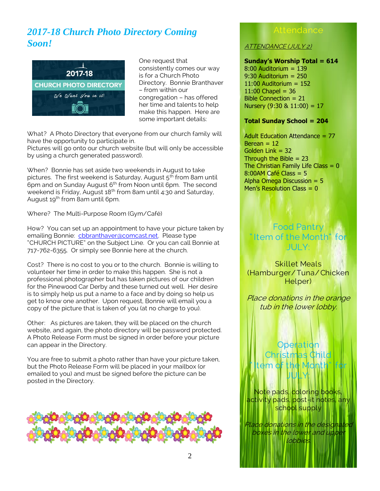## *2017-18 Church Photo Directory Coming Soon!*



One request that consistently comes our way is for a Church Photo Directory. Bonnie Branthaver – from within our congregation – has offered her time and talents to help make this happen. Here are some important details:

What? A Photo Directory that everyone from our church family will have the opportunity to participate in.

Pictures will go onto our church website (but will only be accessible by using a church generated password).

When? Bonnie has set aside two weekends in August to take pictures. The first weekend is Saturday, August  $5<sup>th</sup>$  from 8am until 6pm and on Sunday August 6<sup>th</sup> from Noon until 6pm. The second weekend is Friday, August 18<sup>th</sup> from 8am until 4:30 and Saturday, August 19<sup>th</sup> from 8am until 6pm.

Where? The Multi-Purpose Room (Gym/Café)

How? You can set up an appointment to have your picture taken by emailing Bonnie: [cbbranthaver@comcast.net.](mailto:cbbranthaver@comcast.net) Please type "CHURCH PICTURE" on the Subject Line. Or you can call Bonnie at 717-762-6355. Or simply see Bonnie here at the church.

Cost? There is no cost to you or to the church. Bonnie is willing to volunteer her time in order to make this happen. She is not a professional photographer but has taken pictures of our children for the Pinewood Car Derby and these turned out well. Her desire is to simply help us put a name to a face and by doing so help us get to know one another. Upon request, Bonnie will email you a copy of the picture that is taken of you (at no charge to you).

Other: As pictures are taken, they will be placed on the church website, and again, the photo directory will be password protected. A Photo Release Form must be signed in order before your picture can appear in the Directory.

You are free to submit a photo rather than have your picture taken, but the Photo Release Form will be placed in your mailbox (or emailed to you) and must be signed before the picture can be posted in the Directory.



#### **Attendance**

ATTENDANCE (JULY 2)

#### **Sunday's Worship Total = 614**

8:00 Auditorium = 139 9:30 Auditorium = 250  $11:00$  Auditorium =  $152$  $11:00$  Chapel = 36 Bible Connection = 21 Nursery  $(9:30 \& 11:00) = 17$ 

#### **Total Sunday School = 204**

Adult Education Attendance = 77  $Berean = 12$ Golden Link = 32 Through the Bible  $= 23$ The Christian Family Life Class  $= 0$  $8:00$ AM Café Class = 5 Alpha Omega Discussion  $= 5$ Men's Resolution Class  $= 0$ 

#### Food Pantry " Item of the Month" for JULY:

Skillet Meals (Hamburger/Tuna/ Chicken Helper)

Place donations in the orange tub in the lower lobby.

#### **Operation** Christmas Child  $\mathsf{Iem}$  of  $\mathsf{I}$ JULY:

Note pads, coloring books, activity pads, post-it notes, any school supply

lace donations in the designated boxes in the lower and uppe lobbies.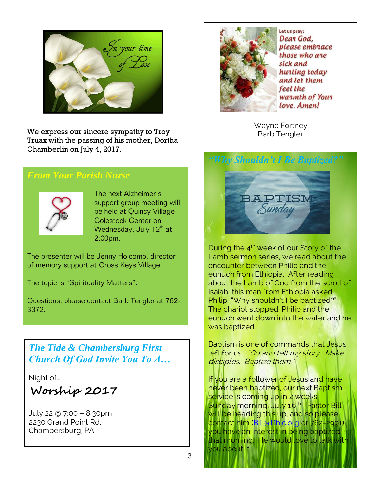

We express our sincere sympathy to Troy **Barb Tengler** Truax with the passing of his mother, Dortha Chamberlin on July 4, 2017.

#### *From Your Parish Nurse*



The next Alzheimer's support group meeting will be held at Quincy Village Colestock Center on Wednesday, July  $12<sup>th</sup>$  at 2:00pm.

The presenter will be Jenny Holcomb, director of memory support at Cross Keys Village.

The topic is "Spirituality Matters".

Questions, please contact Barb Tengler at 762- 3372.

## *The Tide & Chambersburg First Church Of God Invite You To A…*

Night of…

**Worship 2017**

July 22 @ 7:00 – 8:30pm 2230 Grand Point Rd. Chambersburg, PA



Let us pray: Dear God. please embrace those who are sick and hurting today and let them feel the warmth of Your love. Amen!

Wayne Fortney

*"Why Shouldn't I Be Baptized?"*



During the  $4<sup>th</sup>$  week of our Story of the Lamb sermon series, we read about the encounter between Philip and the eunuch from Ethiopia. After reading about the Lamb of God from the scroll of Isaiah, this man from Ethiopia asked Philip, "Why shouldn't I be baptized?" The chariot stopped, Philip and the eunuch went down into the water and he was baptized.

Baptism is one of commands that Jesus left for us. "Go and tell my story. Make disciples. Baptize them."

If you are a follower of Jesus and have never been baptized, our next Baptism service is coming up in 2 weeks – Sunday morning, July 16<sup>th</sup>. Pastor Bill will be heading this up, and so please contact him (Billaffbic.org or 762-2991) you have an interest in being baptized that morning. He would love to talk with you about it.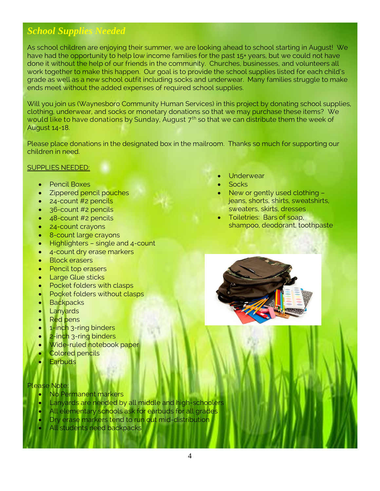## *School Supplies Needed*

As school children are enjoying their summer, we are looking ahead to school starting in August! We have had the opportunity to help low income families for the past 15+ years, but we could not have done it without the help of our friends in the community. Churches, businesses, and volunteers all work together to make this happen. Our goal is to provide the school supplies listed for each child's grade as well as a new school outfit including socks and underwear. Many families struggle to make ends meet without the added expenses of required school supplies.

Will you join us (Waynesboro Community Human Services) in this project by donating school supplies, clothing, underwear, and socks or monetary donations so that we may purchase these items? We would like to have donations by Sunday, August  $7<sup>th</sup>$  so that we can distribute them the week of August 14-18.

Please place donations in the designated box in the mailroom. Thanks so much for supporting our children in need.

SUPPLIES NEEDED:

- Pencil Boxes
- Zippered pencil pouches
- 24-count #2 pencils
- 36-count #2 pencils
- 48-count #2 pencils
- 24-count crayons
- 8-count large crayons
- $\bullet$  Highlighters single and 4-count
- 4-count dry erase markers
- Block erasers
- Pencil top erasers
- Large Glue sticks
- Pocket folders with clasps
- Pocket folders without clasps
- **Backpacks**
- **Lanyards**
- Red pens
- 1-inch 3-ring binders
- 2-inch 3-ring binders
- Wide-ruled notebook paper
- Colored pencils
- **Earbuds**

#### Please Note:

- No Permanent markers
- Lanyards are needed by all middle and high-schoolers
- All elementary schools ask for earbuds for all grades
- Dry erase markers tend to run out mid-distribution
- All students need backpacks
- **Underwear**
- Socks
- New or gently used clothing jeans, shorts, shirts, sweatshirts, sweaters, skirts, dresses
- Toiletries: Bars of soap, shampoo, deodorant, toothpaste

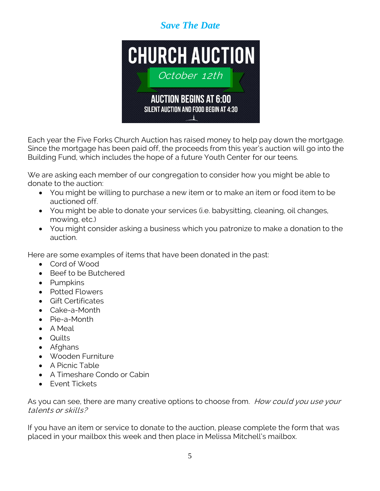## *Save The Date*



Each year the Five Forks Church Auction has raised money to help pay down the mortgage. Since the mortgage has been paid off, the proceeds from this year's auction will go into the Building Fund, which includes the hope of a future Youth Center for our teens.

We are asking each member of our congregation to consider how you might be able to donate to the auction:

- You might be willing to purchase a new item or to make an item or food item to be auctioned off.
- You might be able to donate your services (i.e. babysitting, cleaning, oil changes, mowing, etc.)
- You might consider asking a business which you patronize to make a donation to the auction.

Here are some examples of items that have been donated in the past:

- Cord of Wood
- Beef to be Butchered
- Pumpkins
- Potted Flowers
- Gift Certificates
- Cake-a-Month
- Pie-a-Month
- A Meal
- Quilts
- Afghans
- Wooden Furniture
- A Picnic Table
- A Timeshare Condo or Cabin
- **•** Event Tickets

As you can see, there are many creative options to choose from. How could you use your talents or skills?

If you have an item or service to donate to the auction, please complete the form that was placed in your mailbox this week and then place in Melissa Mitchell's mailbox.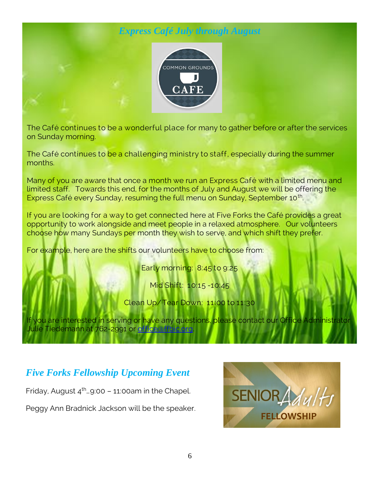## *Express Café July through August*



The Café continues to be a wonderful place for many to gather before or after the services on Sunday morning.

The Café continues to be a challenging ministry to staff, especially during the summer months.

Many of you are aware that once a month we run an Express Café with a limited menu and limited staff. Towards this end, for the months of July and August we will be offering the Express Café every Sunday, resuming the full menu on Sunday, September 10<sup>th</sup>.

If you are looking for a way to get connected here at Five Forks the Café provides a great opportunity to work alongside and meet people in a relaxed atmosphere. Our volunteers choose how many Sundays per month they wish to serve, and which shift they prefer.

For example, here are the shifts our volunteers have to choose from:

Early morning: 8:45 to 9:25

Mid Shift: 10:15 -10:45

Clean Up/Tear Down: 11:00 to 11:30

If you are interested in serving or have any questions, please contact our Office Administrator Julie Tiedemann at 762-2991 or officeaffbic.org.

## *Five Forks Fellowship Upcoming Event*

Friday, August  $4<sup>th</sup>$  9:00 – 11:00am in the Chapel.

Peggy Ann Bradnick Jackson will be the speaker.

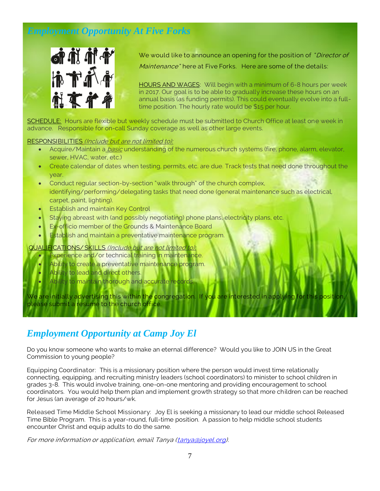## *Employment Opportunity At Five Forks*



We would like to announce an opening for the position of "Director of Maintenance" here at Five Forks. Here are some of the details:

HOURS AND WAGES: Will begin with a minimum of 6-8 hours per week in 2017. Our goal is to be able to gradually increase these hours on an annual basis (as funding permits). This could eventually evolve into a fulltime position. The hourly rate would be \$15 per hour.

SCHEDULE: Hours are flexible but weekly schedule must be submitted to Church Office at least one week in advance. Responsible for on-call Sunday coverage as well as other large events.

#### RESPONSIBILITIES (Include but are not limited to):

- Acquire/Maintain a *basic* understanding of the numerous church systems (fire, phone, alarm, elevator, sewer, HVAC, water, etc.)
- Create calendar of dates when testing, permits, etc. are due. Track tests that need done throughout the year.
- Conduct regular section-by-section "walk through" of the church complex, identifying/performing/delegating tasks that need done (general maintenance such as electrical, carpet, paint, lighting).
- Establish and maintain Key Control
- Staying abreast with (and possibly negotiating) phone plans, electricity plans, etc.
- **Ex-officio member of the Grounds & Maintenance Board**
- Establish and maintain a preventative maintenance program.

#### QUALIFICATIONS/ SKILLS (Include but are not limited to):

- Experience and/or technical training in maintenance.
- Ability to create a preventative maintenance program.
- Ability to lead and direct others.
- Ability to maintain thorough and accurate records

We are initially advertising this within the congregation. If you are interested in applying for this position please submit a resume to the church office.

#### *Employment Opportunity at Camp Joy El*

Do you know someone who wants to make an eternal difference? Would you like to JOIN US in the Great Commission to young people?

Equipping Coordinator: This is a missionary position where the person would invest time relationally connecting, equipping, and recruiting ministry leaders (school coordinators) to minister to school children in grades 3-8. This would involve training, one-on-one mentoring and providing encouragement to school coordinators. You would help them plan and implement growth strategy so that more children can be reached for Jesus (an average of 20 hours/wk.

Released Time Middle School Missionary: Joy El is seeking a missionary to lead our middle school Released Time Bible Program. This is a year-round, full-time position. A passion to help middle school students encounter Christ and equip adults to do the same.

For more information or application, email Tanya [\(tanya@joyel.org\)](mailto:tanya@joyel.org).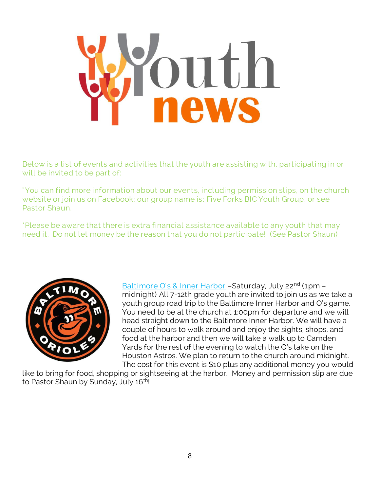

Below is a list of events and activities that the youth are assisting with, participating in or will be invited to be part of:

"You can find more information about our events, including permission slips, on the church website or join us on Facebook; our group name is; Five Forks BIC Youth Group, or see Pastor Shaun.

\*Please be aware that there is extra financial assistance available to any youth that may need it. Do not let money be the reason that you do not participate! (See Pastor Shaun)



Baltimore O's & Inner Harbor - Saturday, July 22<sup>nd</sup> (1pm midnight) All 7-12th grade youth are invited to join us as we take a youth group road trip to the Baltimore Inner Harbor and O's game. You need to be at the church at 1:00pm for departure and we will head straight down to the Baltimore Inner Harbor. We will have a couple of hours to walk around and enjoy the sights, shops, and food at the harbor and then we will take a walk up to Camden Yards for the rest of the evening to watch the O's take on the Houston Astros. We plan to return to the church around midnight. The cost for this event is \$10 plus any additional money you would

like to bring for food, shopping or sightseeing at the harbor. Money and permission slip are due to Pastor Shaun by Sunday, July 16<sup>th</sup>!